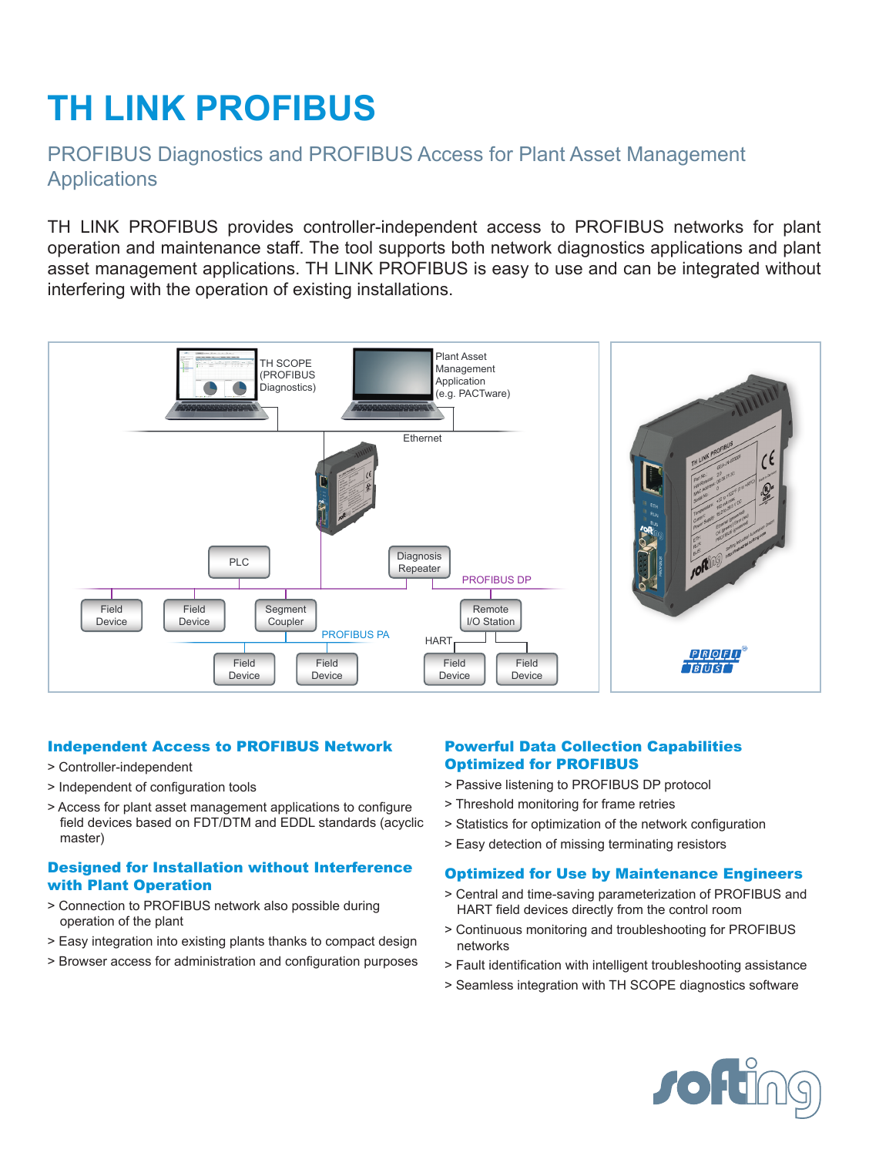# **TH LINK PROFIBUS**

## PROFIBUS Diagnostics and PROFIBUS Access for Plant Asset Management **Applications**

TH LINK PROFIBUS provides controller-independent access to PROFIBUS networks for plant operation and maintenance staff. The tool supports both network diagnostics applications and plant asset management applications. TH LINK PROFIBUS is easy to use and can be integrated without interfering with the operation of existing installations.



#### Independent Access to PROFIBUS Network

- > Controller-independent
- > Independent of configuration tools
- > Access for plant asset management applications to configure field devices based on FDT/DTM and EDDL standards (acyclic master)

#### Designed for Installation without Interference with Plant Operation

- > Connection to PROFIBUS network also possible during operation of the plant
- > Easy integration into existing plants thanks to compact design
- > Browser access for administration and configuration purposes

#### Powerful Data Collection Capabilities Optimized for PROFIBUS

- > Passive listening to PROFIBUS DP protocol
- > Threshold monitoring for frame retries
- > Statistics for optimization of the network configuration
- > Easy detection of missing terminating resistors

#### Optimized for Use by Maintenance Engineers

- > Central and time-saving parameterization of PROFIBUS and HART field devices directly from the control room
- > Continuous monitoring and troubleshooting for PROFIBUS networks
- > Fault identification with intelligent troubleshooting assistance
- > Seamless integration with TH SCOPE diagnostics software